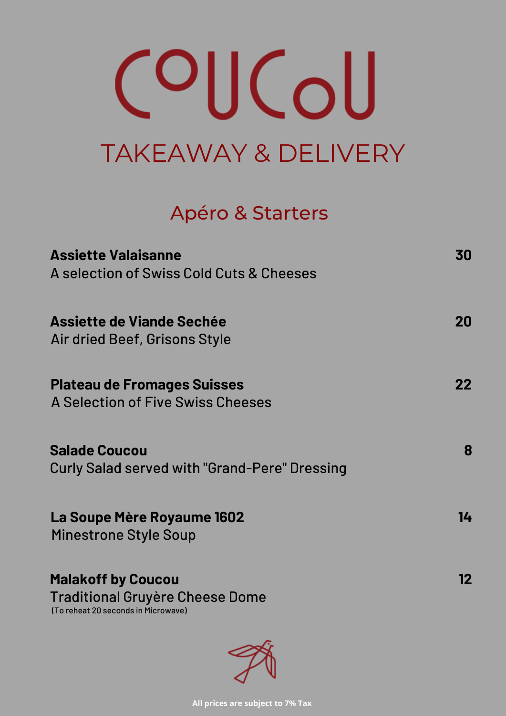# OUCoU TAKEAWAY & DELIVERY

## Apéro & Starters

## **Assiette Valaisanne**

A selection of Swiss Cold Cuts & Cheeses

#### **Assiette de Viande Sechée** Air dried Beef, Grisons Style

**Plateau de Fromages Suisses** A Selection of Five Swiss Cheeses

**Salade Coucou** Curly Salad served with "Grand-Pere" Dressing

**La Soupe Mère Royaume 1602** Minestrone Style Soup

**Malakoff by Coucou** Traditional Gruyère Cheese Dome

(To reheat 20 seconds in Microwave)



**30**

**20**

**22**

**8**

**14**

**12**

**All prices are subject to 7% Tax**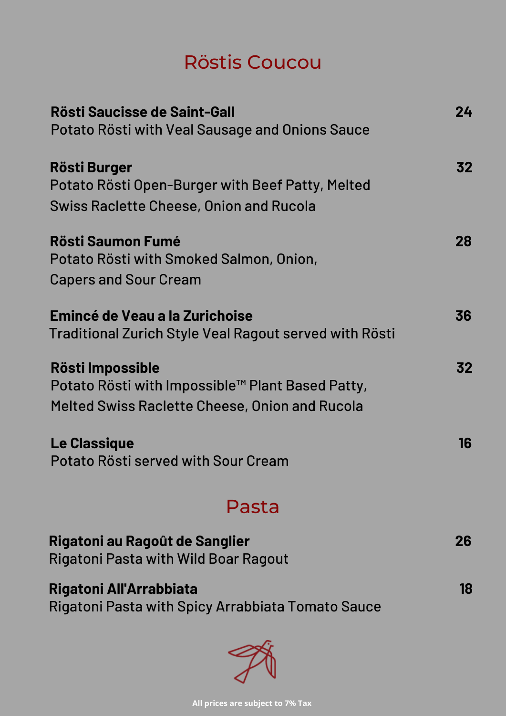# Röstis Coucou

| Rösti Saucisse de Saint-Gall<br>Potato Rösti with Veal Sausage and Onions Sauce          | 74 |
|------------------------------------------------------------------------------------------|----|
| <b>Rösti Burger</b><br>Potato Rösti Open-Burger with Beef Patty, Melted                  | 32 |
| <b>Swiss Raclette Cheese, Onion and Rucola</b>                                           |    |
| <b>Rösti Saumon Fumé</b><br>Potato Rösti with Smoked Salmon, Onion,                      | 28 |
| <b>Capers and Sour Cream</b>                                                             |    |
| Emincé de Veau a la Zurichoise<br>Traditional Zurich Style Veal Ragout served with Rösti | 36 |
| Rösti Impossible                                                                         | 32 |

**Le Classique** Potato Rösti served with Sour Cream

Potato Rösti with Impossible™ Plant Based Patty, Melted Swiss Raclette Cheese, Onion and Rucola

## Pasta

#### **Rigatoni au Ragoût de Sanglier** Rigatoni Pasta with Wild Boar Ragout

**16**

**Rigatoni All'Arrabbiata** Rigatoni Pasta with Spicy Arrabbiata Tomato Sauce



**18**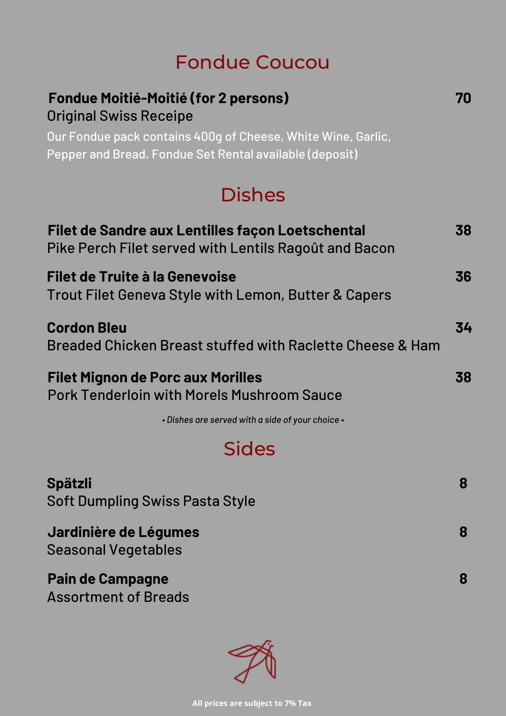# Fondue Coucou

#### **Fondue Moitié-Moitié (for 2 persons)** Original Swiss Receipe

Our Fondue pack contains 400g of Cheese, White Wine, Garlic, Pepper and Bread. Fondue Set Rental available (deposit)

# Dishes

| Filet de Sandre aux Lentilles façon Loetschental<br>Pike Perch Filet served with Lentils Ragoût and Bacon | 38 |
|-----------------------------------------------------------------------------------------------------------|----|
| <b>Filet de Truite à la Genevoise</b><br>Trout Filet Geneva Style with Lemon, Butter & Capers             | 36 |
| <b>Cordon Bleu</b><br>Breaded Chicken Breast stuffed with Raclette Cheese & Ham                           | 34 |
| <b>Filet Mignon de Porc aux Morilles</b>                                                                  |    |

# Pork Tenderloin with Morels Mushroom Sauce

## Sides

*• Dishes are served with a side of your choice •*

**Spätzli** Soft Dumpling Swiss Pasta Style

**Jardinière de Légumes** Seasonal Vegetables

### **Pain de Campagne** Assortment of Breads



**70**

**8**

**8**

**8**

**All prices are subject to 7% Tax**